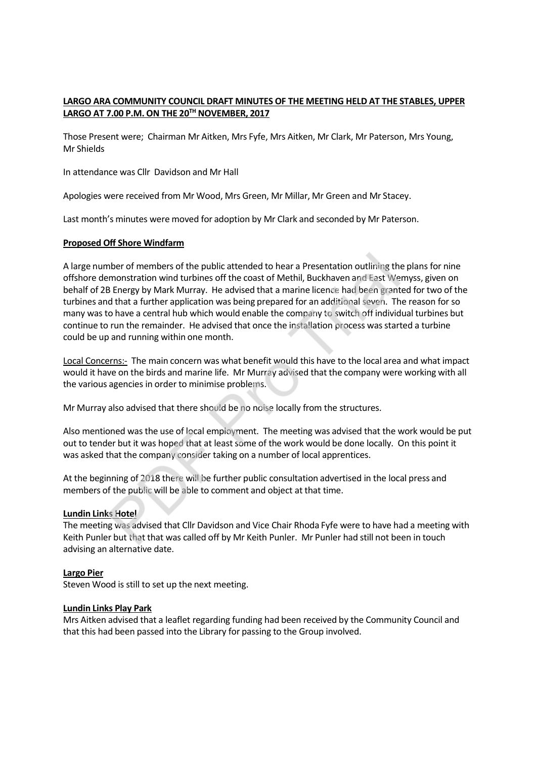## **LARGO ARA COMMUNITY COUNCIL DRAFT MINUTES OF THE MEETING HELD AT THE STABLES, UPPER LARGO AT 7.00 P.M. ON THE 20TH NOVEMBER, 2017**

Those Present were; Chairman Mr Aitken, Mrs Fyfe, Mrs Aitken, Mr Clark, Mr Paterson, Mrs Young, Mr Shields

In attendance was Cllr Davidson and Mr Hall

Apologies were received from Mr Wood, Mrs Green, Mr Millar, Mr Green and Mr Stacey.

Last month's minutes were moved for adoption by Mr Clark and seconded by Mr Paterson.

#### **Proposed Off Shore Windfarm**

A large number of members of the public attended to hear a Presentation outlining the plans for nine offshore demonstration wind turbines off the coast of Methil, Buckhaven and East Wemyss, given on behalf of 2B Energy by Mark Murray. He advised that a marine licence had been granted for two of the turbines and that a further application was being prepared for an additional seven. The reason for so many was to have a central hub which would enable the company to switch off individual turbines but continue to run the remainder. He advised that once the installation process was started a turbine could be up and running within one month. momstration wind turbines of the public attended to hear a Presentation outlining the<br>monstration wind turbines off the coast of Methil, Buckhaven and East We<br>B Energy by Mark Murray. He advised that a marine licence had b

Local Concerns:- The main concern was what benefit would this have to the local area and what impact would it have on the birds and marine life. Mr Murray advised that the company were working with all the various agencies in order to minimise problems.

Mr Murray also advised that there should be no noise locally from the structures.

Also mentioned was the use of local employment. The meeting was advised that the work would be put out to tender but it was hoped that at least some of the work would be done locally. On this point it was asked that the company consider taking on a number of local apprentices.

At the beginning of 2018 there will be further public consultation advertised in the local press and members of the public will be able to comment and object at that time.

#### **Lundin Links Hotel**

The meeting was advised that Cllr Davidson and Vice Chair Rhoda Fyfe were to have had a meeting with Keith Punler but that that was called off by Mr Keith Punler. Mr Punler had still not been in touch advising an alternative date.

#### **Largo Pier**

Steven Wood is still to set up the next meeting.

#### **Lundin Links Play Park**

Mrs Aitken advised that a leaflet regarding funding had been received by the Community Council and that this had been passed into the Library for passing to the Group involved.